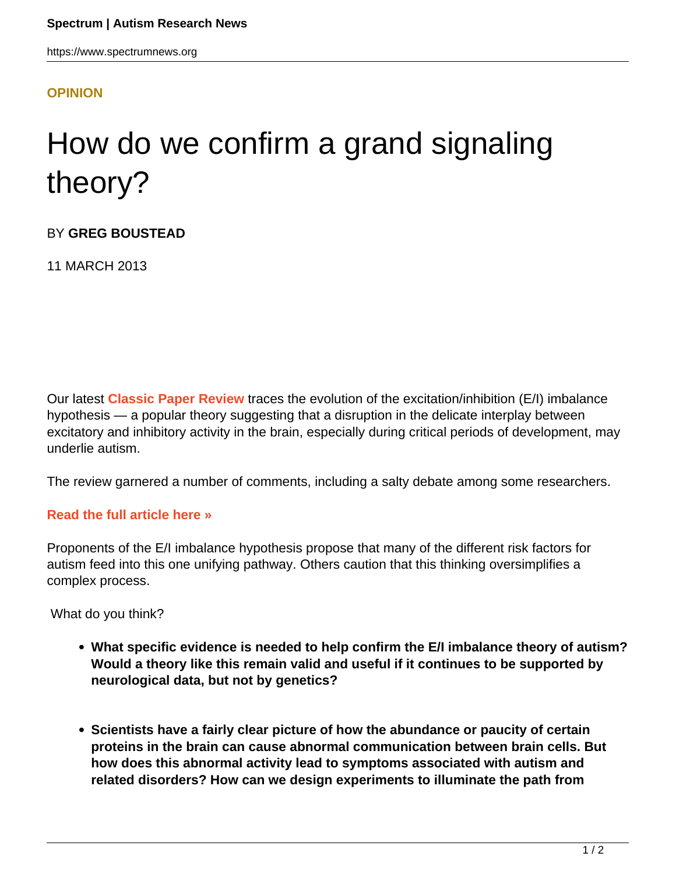## **[OPINION](HTTPS://WWW.SPECTRUMNEWS.ORG/OPINION/)**

## How do we confirm a grand signaling theory?

BY **GREG BOUSTEAD**

11 MARCH 2013

Our latest **[Classic Paper Review](https://www.spectrumnews.org/classic-paper-reviews)** traces the evolution of the excitation/inhibition (E/I) imbalance hypothesis — a popular theory suggesting that a disruption in the delicate interplay between excitatory and inhibitory activity in the brain, especially during critical periods of development, may underlie autism.

The review garnered a number of comments, including a salty debate among some researchers.

## **[Read the full article here »](../../../news-and-opinion/classic-paper-reviews/2013/the-2003-paper-proposing-signaling-imbalance-in-autism)**

Proponents of the E/I imbalance hypothesis propose that many of the different risk factors for autism feed into this one unifying pathway. Others caution that this thinking oversimplifies a complex process.

What do you think?

- **What specific evidence is needed to help confirm the E/I imbalance theory of autism? Would a theory like this remain valid and useful if it continues to be supported by neurological data, but not by genetics?**
- **Scientists have a fairly clear picture of how the abundance or paucity of certain proteins in the brain can cause abnormal communication between brain cells. But how does this abnormal activity lead to symptoms associated with autism and related disorders? How can we design experiments to illuminate the path from**